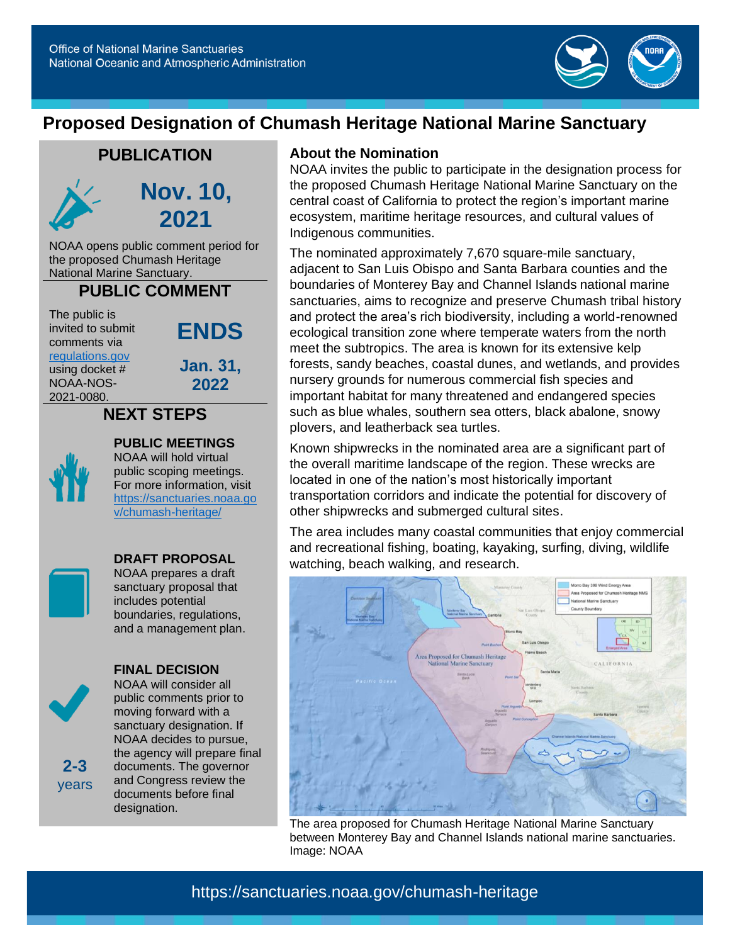

# **Proposed Designation of Chumash Heritage National Marine Sanctuary**

## **PUBLICATION**



**Nov. 10, 2021**

NOAA opens public comment period for the proposed Chumash Heritage National Marine Sanctuary.

#### **PUBLIC COMMENT**

The public is invited to submit comments via

**ENDS**

[regulations.gov](https://www.regulations.gov/) using docket # NOAA-NOS-2021-0080.

**Jan. 31, 2022**

## **NEXT STEPS**



### **PUBLIC MEETINGS**

NOAA will hold virtual public scoping meetings. For more information, visit [https://sanctuaries.noaa.go](https://sanctuaries.noaa.gov/chumash-heritage/) [v/chumash-heritage/](https://sanctuaries.noaa.gov/chumash-heritage/)



#### **DRAFT PROPOSAL** NOAA prepares a draft sanctuary proposal that includes potential boundaries, regulations, and a management plan.



**2-3** years

#### **FINAL DECISION**

NOAA will consider all public comments prior to moving forward with a sanctuary designation. If NOAA decides to pursue, the agency will prepare final documents. The governor and Congress review the documents before final designation.

#### **About the Nomination**

NOAA invites the public to participate in the designation process for the proposed Chumash Heritage National Marine Sanctuary on the central coast of California to protect the region's important marine ecosystem, maritime heritage resources, and cultural values of Indigenous communities.

The nominated approximately 7,670 square-mile sanctuary, adjacent to San Luis Obispo and Santa Barbara counties and the boundaries of Monterey Bay and Channel Islands national marine sanctuaries, aims to recognize and preserve Chumash tribal history and protect the area's rich biodiversity, including a world-renowned ecological transition zone where temperate waters from the north meet the subtropics. The area is known for its extensive kelp forests, sandy beaches, coastal dunes, and wetlands, and provides nursery grounds for numerous commercial fish species and important habitat for many threatened and endangered species such as blue whales, southern sea otters, black abalone, snowy plovers, and leatherback sea turtles.

Known shipwrecks in the nominated area are a significant part of the overall maritime landscape of the region. These wrecks are located in one of the nation's most historically important transportation corridors and indicate the potential for discovery of other shipwrecks and submerged cultural sites.

The area includes many coastal communities that enjoy commercial and recreational fishing, boating, kayaking, surfing, diving, wildlife watching, beach walking, and research.



The area proposed for Chumash Heritage National Marine Sanctuary between Monterey Bay and Channel Islands national marine sanctuaries. Image: NOAA